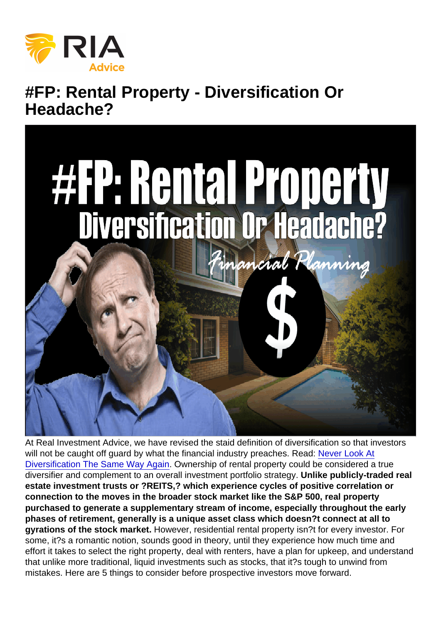# #FP: Rental Property - Diversification Or Headache?

At Real Investment Advice, we have revised the staid definition of diversification so that investors will not be caught off guard by what the financial industry preaches. Read: [Never Look At](https://realinvestmentadvice.com/fpw-never-look-at-diversification-the-same-way-again/) [Diversification The Same Way Again.](https://realinvestmentadvice.com/fpw-never-look-at-diversification-the-same-way-again/) Ownership of rental property could be considered a true diversifier and complement to an overall investment portfolio strategy. Unlike publicly-traded real estate investment trusts or ?REITS,? which experience cycles of positive correlation or connection to the moves in the broader stock market like the S&P 500, real property purchased to generate a supplementary stream of income, especially throughout the early phases of retirement, generally is a unique asset class which doesn?t connect at all to gyrations of the stock market. However, residential rental property isn?t for every investor. For some, it?s a romantic notion, sounds good in theory, until they experience how much time and effort it takes to select the right property, deal with renters, have a plan for upkeep, and understand that unlike more traditional, liquid investments such as stocks, that it?s tough to unwind from mistakes. Here are 5 things to consider before prospective investors move forward.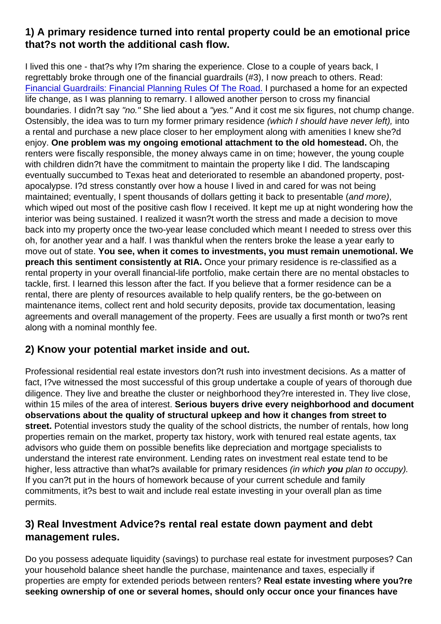1) A primary residence turned into rental property could be an emotional price that?s not worth the additional cash flow.

I lived this one - that?s why I?m sharing the experience. Close to a couple of years back, I regrettably broke through one of the financial guardrails (#3), I now preach to others. Read: [Financial Guardrails: Financial Planning Rules Of The Road.](https://realinvestmentadvice.com/fp-the-ria-financial-guardrails/) I purchased a home for an expected life change, as I was planning to remarry. I allowed another person to cross my financial boundaries. I didn?t say "no." She lied about a "yes." And it cost me six figures, not chump change. Ostensibly, the idea was to turn my former primary residence (which I should have never left), into a rental and purchase a new place closer to her employment along with amenities I knew she?d enjoy. One problem was my ongoing emotional attachment to the old homestead. Oh, the renters were fiscally responsible, the money always came in on time; however, the young couple with children didn?t have the commitment to maintain the property like I did. The landscaping eventually succumbed to Texas heat and deteriorated to resemble an abandoned property, postapocalypse. I?d stress constantly over how a house I lived in and cared for was not being maintained; eventually, I spent thousands of dollars getting it back to presentable (and more), which wiped out most of the positive cash flow I received. It kept me up at night wondering how the interior was being sustained. I realized it wasn?t worth the stress and made a decision to move back into my property once the two-year lease concluded which meant I needed to stress over this oh, for another year and a half. I was thankful when the renters broke the lease a year early to move out of state. You see, when it comes to investments, you must remain unemotional. We preach this sentiment consistently at RIA. Once your primary residence is re-classified as a rental property in your overall financial-life portfolio, make certain there are no mental obstacles to tackle, first. I learned this lesson after the fact. If you believe that a former residence can be a rental, there are plenty of resources available to help qualify renters, be the go-between on maintenance items, collect rent and hold security deposits, provide tax documentation, leasing agreements and overall management of the property. Fees are usually a first month or two?s rent along with a nominal monthly fee.

#### 2) Know your potential market inside and out.

Professional residential real estate investors don?t rush into investment decisions. As a matter of fact, I?ve witnessed the most successful of this group undertake a couple of years of thorough due diligence. They live and breathe the cluster or neighborhood they?re interested in. They live close, within 15 miles of the area of interest. Serious buyers drive every neighborhood and document observations about the quality of structural upkeep and how it changes from street to street. Potential investors study the quality of the school districts, the number of rentals, how long properties remain on the market, property tax history, work with tenured real estate agents, tax advisors who guide them on possible benefits like depreciation and mortgage specialists to understand the interest rate environment. Lending rates on investment real estate tend to be higher, less attractive than what?s available for primary residences (in which you plan to occupy). If you can?t put in the hours of homework because of your current schedule and family commitments, it?s best to wait and include real estate investing in your overall plan as time permits.

### 3) Real Investment Advice?s rental real estate down payment and debt management rules.

Do you possess adequate liquidity (savings) to purchase real estate for investment purposes? Can your household balance sheet handle the purchase, maintenance and taxes, especially if properties are empty for extended periods between renters? Real estate investing where you?re seeking ownership of one or several homes, should only occur once your finances have